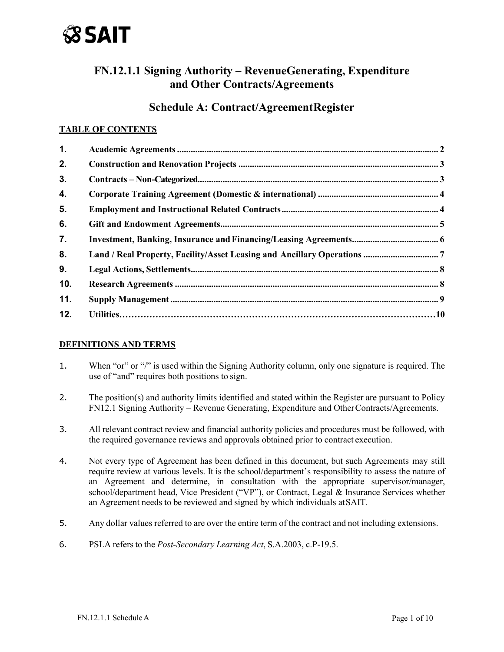

# **FN.12.1.1 Signing Authority – RevenueGenerating, Expenditure and Other Contracts/Agreements**

## **Schedule A: Contract/AgreementRegister**

#### **TABLE OF CONTENTS**

| 1.  |  |
|-----|--|
| 2.  |  |
| 3.  |  |
| 4.  |  |
| 5.  |  |
| 6.  |  |
| 7.  |  |
| 8.  |  |
| 9.  |  |
| 10. |  |
| 11. |  |
| 12. |  |
|     |  |

#### **DEFINITIONS AND TERMS**

- 1. When "or" or "/" is used within the Signing Authority column, only one signature is required. The use of "and" requires both positions to sign.
- 2. The position(s) and authority limits identified and stated within the Register are pursuant to Policy FN12.1 Signing Authority – Revenue Generating, Expenditure and Other Contracts/Agreements.
- 3. All relevant contract review and financial authority policies and procedures must be followed, with the required governance reviews and approvals obtained prior to contract execution.
- 4. Not every type of Agreement has been defined in this document, but such Agreements may still require review at various levels. It is the school/department's responsibility to assess the nature of an Agreement and determine, in consultation with the appropriate supervisor/manager, school/department head, Vice President ("VP"), or Contract, Legal & Insurance Services whether an Agreement needs to be reviewed and signed by which individuals at SAIT.
- 5. Any dollar values referred to are over the entire term of the contract and not including extensions.
- 6. PSLA refers to the *Post-Secondary Learning Act*, S.A.2003, c.P-19.5.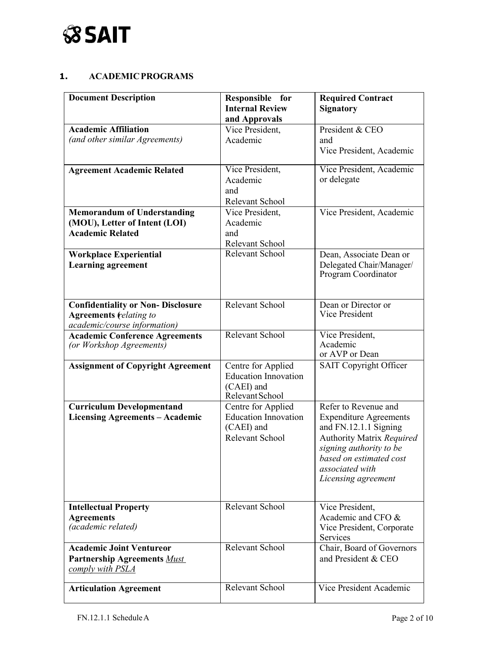

#### **1. ACADEMICPROGRAMS**

| <b>Document Description</b>                                                               | Responsible for<br><b>Internal Review</b>                                          | <b>Required Contract</b><br><b>Signatory</b>                                                                                                                                        |
|-------------------------------------------------------------------------------------------|------------------------------------------------------------------------------------|-------------------------------------------------------------------------------------------------------------------------------------------------------------------------------------|
|                                                                                           | and Approvals                                                                      |                                                                                                                                                                                     |
| <b>Academic Affiliation</b>                                                               | Vice President,                                                                    | President & CEO                                                                                                                                                                     |
| (and other similar Agreements)                                                            | Academic                                                                           | and                                                                                                                                                                                 |
|                                                                                           |                                                                                    | Vice President, Academic                                                                                                                                                            |
| <b>Agreement Academic Related</b>                                                         | Vice President,                                                                    | Vice President, Academic                                                                                                                                                            |
|                                                                                           | Academic                                                                           | or delegate                                                                                                                                                                         |
|                                                                                           | and                                                                                |                                                                                                                                                                                     |
|                                                                                           | Relevant School                                                                    |                                                                                                                                                                                     |
| <b>Memorandum of Understanding</b>                                                        | Vice President,                                                                    | Vice President, Academic                                                                                                                                                            |
| (MOU), Letter of Intent (LOI)<br><b>Academic Related</b>                                  | Academic                                                                           |                                                                                                                                                                                     |
|                                                                                           | and<br>Relevant School                                                             |                                                                                                                                                                                     |
| <b>Workplace Experiential</b>                                                             | Relevant School                                                                    | Dean, Associate Dean or                                                                                                                                                             |
| <b>Learning agreement</b>                                                                 |                                                                                    | Delegated Chair/Manager/<br>Program Coordinator                                                                                                                                     |
| <b>Confidentiality or Non- Disclosure</b>                                                 | Relevant School                                                                    | Dean or Director or                                                                                                                                                                 |
| <b>Agreements (relating to</b>                                                            |                                                                                    | Vice President                                                                                                                                                                      |
| academic/course information)                                                              |                                                                                    |                                                                                                                                                                                     |
| <b>Academic Conference Agreements</b><br>(or Workshop Agreements)                         | Relevant School                                                                    | Vice President,<br>Academic<br>or AVP or Dean                                                                                                                                       |
| <b>Assignment of Copyright Agreement</b>                                                  | Centre for Applied<br><b>Education Innovation</b><br>(CAEI) and<br>Relevant School | SAIT Copyright Officer                                                                                                                                                              |
| <b>Curriculum Developmentand</b>                                                          | Centre for Applied                                                                 | Refer to Revenue and                                                                                                                                                                |
| <b>Licensing Agreements - Academic</b>                                                    | <b>Education Innovation</b><br>(CAEI) and<br>Relevant School                       | <b>Expenditure Agreements</b><br>and FN.12.1.1 Signing<br>Authority Matrix Required<br>signing authority to be<br>based on estimated cost<br>associated with<br>Licensing agreement |
| <b>Intellectual Property</b>                                                              | Relevant School                                                                    | Vice President,                                                                                                                                                                     |
| <b>Agreements</b><br>(academic related)                                                   |                                                                                    | Academic and CFO &<br>Vice President, Corporate<br>Services                                                                                                                         |
| <b>Academic Joint Ventureor</b><br><b>Partnership Agreements Must</b><br>comply with PSLA | Relevant School                                                                    | Chair, Board of Governors<br>and President & CEO                                                                                                                                    |
| <b>Articulation Agreement</b>                                                             | Relevant School                                                                    | Vice President Academic                                                                                                                                                             |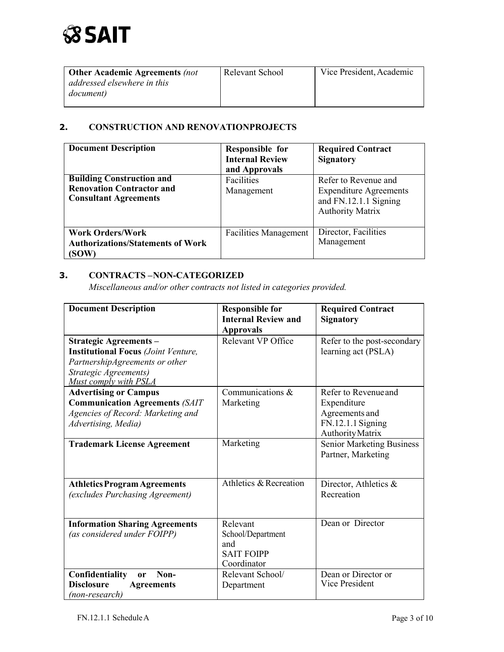| <b>Other Academic Agreements (not</b> | Relevant School | Vice President, Academic |
|---------------------------------------|-----------------|--------------------------|
| addressed elsewhere in this           |                 |                          |
| document)                             |                 |                          |
|                                       |                 |                          |

## <span id="page-2-0"></span>**2. CONSTRUCTION AND RENOVATIONPROJECTS**

| <b>Document Description</b>                                                                          | Responsible for<br><b>Internal Review</b><br>and Approvals | <b>Required Contract</b><br><b>Signatory</b>                                                              |
|------------------------------------------------------------------------------------------------------|------------------------------------------------------------|-----------------------------------------------------------------------------------------------------------|
| <b>Building Construction and</b><br><b>Renovation Contractor and</b><br><b>Consultant Agreements</b> | Facilities<br>Management                                   | Refer to Revenue and<br><b>Expenditure Agreements</b><br>and FN.12.1.1 Signing<br><b>Authority Matrix</b> |
| <b>Work Orders/Work</b><br><b>Authorizations/Statements of Work</b><br>(SOW)                         | <b>Facilities Management</b>                               | Director, Facilities<br>Management                                                                        |

## <span id="page-2-1"></span>**3. CONTRACTS – NON-CATEGORIZED**

*Miscellaneous and/or other contracts not listed in categories provided.* 

| <b>Document Description</b>                                                                                                                                     | <b>Responsible for</b><br><b>Internal Review and</b><br><b>Approvals</b> | <b>Required Contract</b><br><b>Signatory</b>                                                   |
|-----------------------------------------------------------------------------------------------------------------------------------------------------------------|--------------------------------------------------------------------------|------------------------------------------------------------------------------------------------|
| <b>Strategic Agreements -</b><br><b>Institutional Focus</b> (Joint Venture,<br>PartnershipAgreements or other<br>Strategic Agreements)<br>Must comply with PSLA | Relevant VP Office                                                       | Refer to the post-secondary<br>learning act (PSLA)                                             |
| <b>Advertising or Campus</b><br><b>Communication Agreements (SAIT</b><br>Agencies of Record: Marketing and<br>Advertising, Media)                               | Communications &<br>Marketing                                            | Refer to Revenue and<br>Expenditure<br>Agreements and<br>FN.12.1.1 Signing<br>Authority Matrix |
| <b>Trademark License Agreement</b>                                                                                                                              | Marketing                                                                | <b>Senior Marketing Business</b><br>Partner, Marketing                                         |
| <b>Athletics Program Agreements</b><br>(excludes Purchasing Agreement)                                                                                          | Athletics & Recreation                                                   | Director, Athletics &<br>Recreation                                                            |
| <b>Information Sharing Agreements</b><br>(as considered under FOIPP)                                                                                            | Relevant<br>School/Department<br>and<br><b>SAIT FOIPP</b><br>Coordinator | Dean or Director                                                                               |
| Non-<br>Confidentiality<br><b>or</b><br><b>Disclosure</b><br><b>Agreements</b><br>(non-research)                                                                | Relevant School/<br>Department                                           | Dean or Director or<br>Vice President                                                          |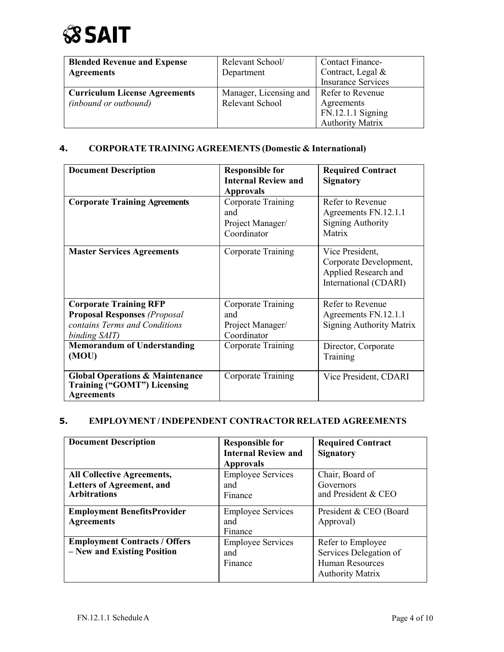# **SSAIT**

| <b>Blended Revenue and Expense</b>   | Relevant School/       | <b>Contact Finance-</b>   |
|--------------------------------------|------------------------|---------------------------|
| <b>Agreements</b>                    | Department             | Contract, Legal &         |
|                                      |                        | <b>Insurance Services</b> |
| <b>Curriculum License Agreements</b> | Manager, Licensing and | Refer to Revenue          |
| <i>(inbound or outbound)</i>         | Relevant School        | Agreements                |
|                                      |                        | FN.12.1.1 Signing         |
|                                      |                        | <b>Authority Matrix</b>   |

## **4. CORPORATE TRAINING AGREEMENTS (Domestic & International)**

| <b>Document Description</b>                                                                                            | <b>Responsible for</b><br><b>Internal Review and</b><br><b>Approvals</b> | <b>Required Contract</b><br><b>Signatory</b>                                               |
|------------------------------------------------------------------------------------------------------------------------|--------------------------------------------------------------------------|--------------------------------------------------------------------------------------------|
| <b>Corporate Training Agreements</b>                                                                                   | Corporate Training<br>and<br>Project Manager/<br>Coordinator             | Refer to Revenue<br>Agreements FN.12.1.1<br><b>Signing Authority</b><br>Matrix             |
| <b>Master Services Agreements</b>                                                                                      | Corporate Training                                                       | Vice President,<br>Corporate Development,<br>Applied Research and<br>International (CDARI) |
| <b>Corporate Training RFP</b><br><b>Proposal Responses (Proposal</b><br>contains Terms and Conditions<br>binding SAIT) | Corporate Training<br>and<br>Project Manager/<br>Coordinator             | Refer to Revenue<br>Agreements FN.12.1.1<br><b>Signing Authority Matrix</b>                |
| <b>Memorandum of Understanding</b><br>(MOU)                                                                            | Corporate Training                                                       | Director, Corporate<br>Training                                                            |
| <b>Global Operations &amp; Maintenance</b><br>Training ("GOMT") Licensing<br><b>Agreements</b>                         | Corporate Training                                                       | Vice President, CDARI                                                                      |

## **5. EMPLOYMENT /INDEPENDENT CONTRACTOR RELATED AGREEMENTS**

| <b>Document Description</b>                                                                  | <b>Responsible for</b><br><b>Internal Review and</b><br><b>Approvals</b> | <b>Required Contract</b><br><b>Signatory</b>                                                     |
|----------------------------------------------------------------------------------------------|--------------------------------------------------------------------------|--------------------------------------------------------------------------------------------------|
| <b>All Collective Agreements,</b><br><b>Letters of Agreement, and</b><br><b>Arbitrations</b> | <b>Employee Services</b><br>and<br>Finance                               | Chair, Board of<br>Governors<br>and President & CEO                                              |
| <b>Employment BenefitsProvider</b><br><b>Agreements</b>                                      | <b>Employee Services</b><br>and<br>Finance                               | President & CEO (Board<br>Approval)                                                              |
| <b>Employment Contracts / Offers</b><br>- New and Existing Position                          | <b>Employee Services</b><br>and<br>Finance                               | Refer to Employee<br>Services Delegation of<br><b>Human Resources</b><br><b>Authority Matrix</b> |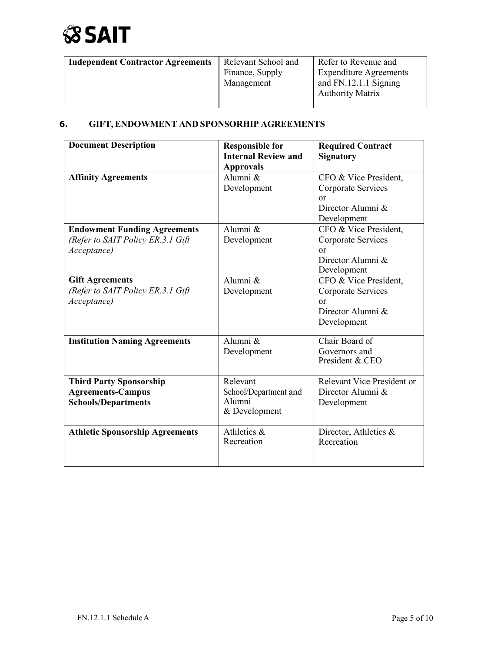

| <b>Independent Contractor Agreements</b> | Relevant School and | Refer to Revenue and          |
|------------------------------------------|---------------------|-------------------------------|
|                                          | Finance, Supply     | <b>Expenditure Agreements</b> |
|                                          | Management          | and FN.12.1.1 Signing         |
|                                          |                     | <b>Authority Matrix</b>       |
|                                          |                     |                               |

## **6. GIFT, ENDOWMENT AND SPONSORHIP AGREEMENTS**

| <b>Document Description</b>            | <b>Responsible for</b><br><b>Internal Review and</b> | <b>Required Contract</b><br><b>Signatory</b> |
|----------------------------------------|------------------------------------------------------|----------------------------------------------|
|                                        | <b>Approvals</b>                                     |                                              |
| <b>Affinity Agreements</b>             | Alumni &                                             | CFO & Vice President,                        |
|                                        | Development                                          | Corporate Services                           |
|                                        |                                                      | $\alpha$ r                                   |
|                                        |                                                      | Director Alumni &                            |
|                                        |                                                      | Development                                  |
| <b>Endowment Funding Agreements</b>    | Alumni &                                             | CFO & Vice President,                        |
| (Refer to SAIT Policy ER.3.1 Gift      | Development                                          | Corporate Services                           |
| Acceptance)                            |                                                      | <b>or</b>                                    |
|                                        |                                                      | Director Alumni &                            |
|                                        |                                                      | Development                                  |
| <b>Gift Agreements</b>                 | Alumni &                                             | CFO & Vice President,                        |
| (Refer to SAIT Policy ER.3.1 Gift      | Development                                          | Corporate Services                           |
| Acceptance)                            |                                                      | or                                           |
|                                        |                                                      | Director Alumni &                            |
|                                        |                                                      | Development                                  |
| <b>Institution Naming Agreements</b>   | Alumni &                                             | Chair Board of                               |
|                                        | Development                                          | Governors and                                |
|                                        |                                                      | President & CEO                              |
|                                        |                                                      |                                              |
| <b>Third Party Sponsorship</b>         | Relevant                                             | Relevant Vice President or                   |
| <b>Agreements-Campus</b>               | School/Department and                                | Director Alumni &                            |
| <b>Schools/Departments</b>             | Alumni                                               | Development                                  |
|                                        | & Development                                        |                                              |
|                                        |                                                      |                                              |
| <b>Athletic Sponsorship Agreements</b> | Athletics &                                          | Director, Athletics &                        |
|                                        | Recreation                                           | Recreation                                   |
|                                        |                                                      |                                              |
|                                        |                                                      |                                              |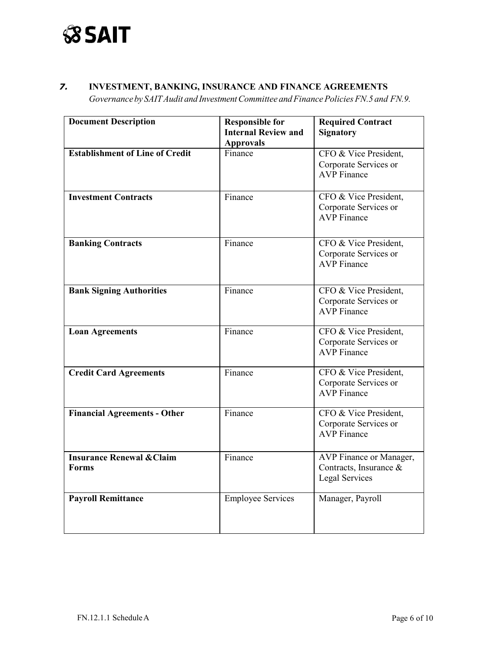

## *7.* **INVESTMENT, BANKING, INSURANCE AND FINANCE AGREEMENTS**

*Governanceby SAITAudit and InvestmentCommittee andFinancePoliciesFN.5 and FN.9.*

| <b>Document Description</b>                          | <b>Responsible for</b>     | <b>Required Contract</b>                                                   |
|------------------------------------------------------|----------------------------|----------------------------------------------------------------------------|
|                                                      | <b>Internal Review and</b> | <b>Signatory</b>                                                           |
|                                                      | <b>Approvals</b>           |                                                                            |
| <b>Establishment of Line of Credit</b>               | Finance                    | CFO & Vice President,<br>Corporate Services or<br><b>AVP</b> Finance       |
| <b>Investment Contracts</b>                          | Finance                    | CFO & Vice President,<br>Corporate Services or<br><b>AVP</b> Finance       |
| <b>Banking Contracts</b>                             | Finance                    | CFO & Vice President,<br>Corporate Services or<br><b>AVP</b> Finance       |
| <b>Bank Signing Authorities</b>                      | Finance                    | CFO & Vice President,<br>Corporate Services or<br><b>AVP</b> Finance       |
| <b>Loan Agreements</b>                               | Finance                    | CFO & Vice President,<br>Corporate Services or<br><b>AVP</b> Finance       |
| <b>Credit Card Agreements</b>                        | Finance                    | CFO & Vice President,<br>Corporate Services or<br><b>AVP</b> Finance       |
| <b>Financial Agreements - Other</b>                  | Finance                    | CFO & Vice President,<br>Corporate Services or<br><b>AVP</b> Finance       |
| <b>Insurance Renewal &amp; Claim</b><br><b>Forms</b> | Finance                    | AVP Finance or Manager,<br>Contracts, Insurance &<br><b>Legal Services</b> |
| <b>Payroll Remittance</b>                            | <b>Employee Services</b>   | Manager, Payroll                                                           |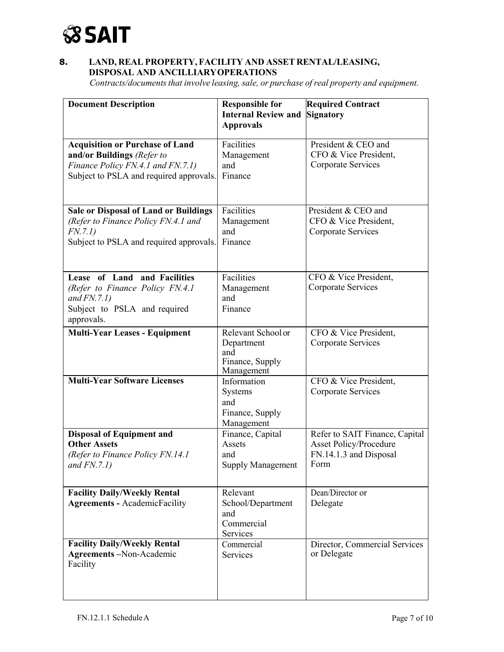

### **8. LAND, REAL PROPERTY, FACILITY AND ASSET RENTAL/LEASING, DISPOSAL AND ANCILLIARYOPERATIONS**

*Contracts/documents that involve leasing, sale, or purchase of real property and equipment.* 

| <b>Document Description</b>                                                                                                                          | <b>Responsible for</b><br><b>Internal Review and</b><br><b>Approvals</b> | <b>Required Contract</b><br><b>Signatory</b>                                               |
|------------------------------------------------------------------------------------------------------------------------------------------------------|--------------------------------------------------------------------------|--------------------------------------------------------------------------------------------|
| <b>Acquisition or Purchase of Land</b><br>and/or Buildings (Refer to<br>Finance Policy FN.4.1 and FN.7.1)<br>Subject to PSLA and required approvals. | Facilities<br>Management<br>and<br>Finance                               | President & CEO and<br>CFO & Vice President,<br>Corporate Services                         |
| <b>Sale or Disposal of Land or Buildings</b><br>(Refer to Finance Policy FN.4.1 and<br>FN.7.1)<br>Subject to PSLA and required approvals.            | Facilities<br>Management<br>and<br>Finance                               | President & CEO and<br>CFO & Vice President,<br>Corporate Services                         |
| Lease of Land and Facilities<br>(Refer to Finance Policy FN.4.1)<br>and $FN.7.1$ )<br>Subject to PSLA and required<br>approvals.                     | <b>Facilities</b><br>Management<br>and<br>Finance                        | CFO & Vice President,<br>Corporate Services                                                |
| <b>Multi-Year Leases - Equipment</b>                                                                                                                 | Relevant School or<br>Department<br>and<br>Finance, Supply<br>Management | CFO & Vice President,<br>Corporate Services                                                |
| <b>Multi-Year Software Licenses</b>                                                                                                                  | Information<br>Systems<br>and<br>Finance, Supply<br>Management           | CFO & Vice President,<br>Corporate Services                                                |
| <b>Disposal of Equipment and</b><br><b>Other Assets</b><br>(Refer to Finance Policy FN.14.1)<br>and $FN.7.1$ )                                       | Finance, Capital<br>Assets<br>and<br><b>Supply Management</b>            | Refer to SAIT Finance, Capital<br>Asset Policy/Procedure<br>FN.14.1.3 and Disposal<br>Form |
| <b>Facility Daily/Weekly Rental</b><br><b>Agreements - AcademicFacility</b>                                                                          | Relevant<br>School/Department<br>and<br>Commercial<br>Services           | Dean/Director or<br>Delegate                                                               |
| <b>Facility Daily/Weekly Rental</b><br>Agreements-Non-Academic<br>Facility                                                                           | Commercial<br>Services                                                   | Director, Commercial Services<br>or Delegate                                               |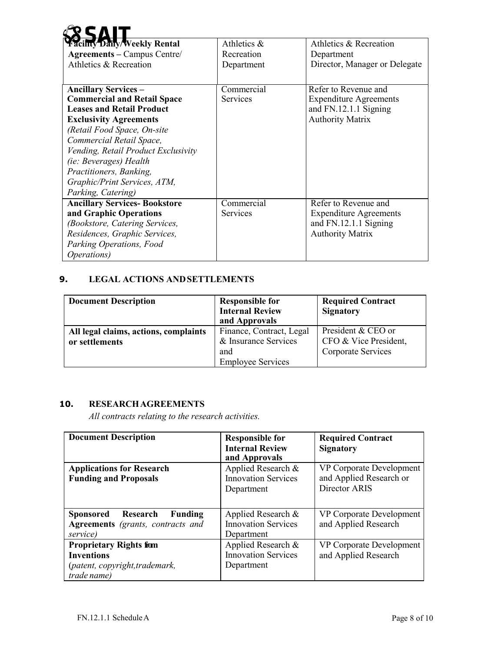| acility Daily/Weekly Rental         | Athletics &     | Athletics & Recreation        |
|-------------------------------------|-----------------|-------------------------------|
| <b>Agreements</b> – Campus Centre/  | Recreation      | Department                    |
| Athletics & Recreation              | Department      | Director, Manager or Delegate |
|                                     |                 |                               |
| <b>Ancillary Services –</b>         | Commercial      | Refer to Revenue and          |
| <b>Commercial and Retail Space</b>  | <b>Services</b> | <b>Expenditure Agreements</b> |
| <b>Leases and Retail Product</b>    |                 | and FN.12.1.1 Signing         |
| <b>Exclusivity Agreements</b>       |                 | <b>Authority Matrix</b>       |
| (Retail Food Space, On-site         |                 |                               |
| Commercial Retail Space,            |                 |                               |
| Vending, Retail Product Exclusivity |                 |                               |
| (ie: Beverages) Health              |                 |                               |
| Practitioners, Banking,             |                 |                               |
| Graphic/Print Services, ATM,        |                 |                               |
| Parking, Catering)                  |                 |                               |
| <b>Ancillary Services-Bookstore</b> | Commercial      | Refer to Revenue and          |
| and Graphic Operations              | <b>Services</b> | <b>Expenditure Agreements</b> |
| (Bookstore, Catering Services,      |                 | and FN.12.1.1 Signing         |
| Residences, Graphic Services,       |                 | <b>Authority Matrix</b>       |
| Parking Operations, Food            |                 |                               |
| <i>Operations</i> )                 |                 |                               |

### **9. LEGAL ACTIONS ANDSETTLEMENTS**

| <b>Document Description</b>           | <b>Responsible for</b><br><b>Internal Review</b><br>and Approvals | <b>Required Contract</b><br><b>Signatory</b> |
|---------------------------------------|-------------------------------------------------------------------|----------------------------------------------|
| All legal claims, actions, complaints | Finance, Contract, Legal                                          | President & CEO or                           |
| or settlements                        | & Insurance Services                                              | CFO & Vice President,                        |
|                                       | and                                                               | Corporate Services                           |
|                                       | <b>Employee Services</b>                                          |                                              |

## <span id="page-7-0"></span>**10. RESEARCHAGREEMENTS**

*All contracts relating to the research activities.*

| <b>Document Description</b>                                                                          | <b>Responsible for</b><br><b>Internal Review</b><br>and Approvals | <b>Required Contract</b><br><b>Signatory</b>                         |
|------------------------------------------------------------------------------------------------------|-------------------------------------------------------------------|----------------------------------------------------------------------|
| <b>Applications for Research</b><br><b>Funding and Proposals</b>                                     | Applied Research &<br><b>Innovation Services</b><br>Department    | VP Corporate Development<br>and Applied Research or<br>Director ARIS |
| Research<br><b>Sponsored</b><br>Funding<br><b>Agreements</b> (grants, contracts and<br>service)      | Applied Research $\&$<br><b>Innovation Services</b><br>Department | VP Corporate Development<br>and Applied Research                     |
| <b>Proprietary Rights fiom</b><br><b>Inventions</b><br>(patent, copyright, trademark,<br>trade name) | Applied Research &<br><b>Innovation Services</b><br>Department    | VP Corporate Development<br>and Applied Research                     |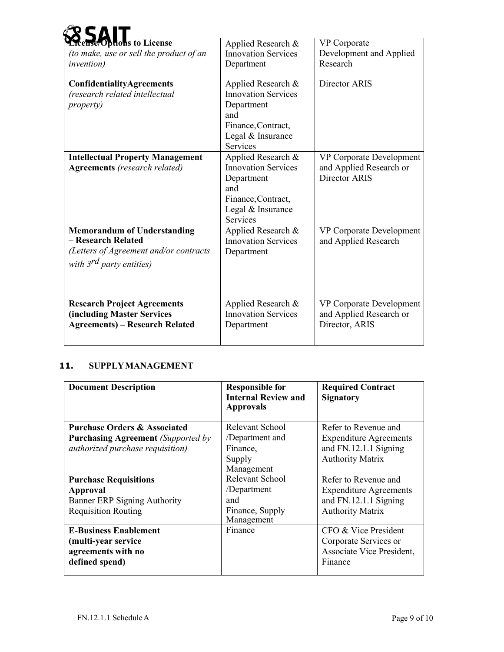| <b>Tcense/Options to License</b><br>(to make, use or sell the product of an<br><i>invention</i> )                                   | Applied Research &<br><b>Innovation Services</b><br>Department                                                               | <b>VP</b> Corporate<br>Development and Applied<br>Research            |
|-------------------------------------------------------------------------------------------------------------------------------------|------------------------------------------------------------------------------------------------------------------------------|-----------------------------------------------------------------------|
| ConfidentialityAgreements<br>(research related intellectual<br><i>property</i> )                                                    | Applied Research &<br><b>Innovation Services</b><br>Department<br>and<br>Finance, Contract,<br>Legal & Insurance<br>Services | Director ARIS                                                         |
| <b>Intellectual Property Management</b><br><b>Agreements</b> (research related)                                                     | Applied Research &<br><b>Innovation Services</b><br>Department<br>and<br>Finance, Contract,<br>Legal & Insurance<br>Services | VP Corporate Development<br>and Applied Research or<br>Director ARIS  |
| <b>Memorandum of Understanding</b><br>- Research Related<br>(Letters of Agreement and/or contracts<br>with $3^{rd}$ party entities) | Applied Research &<br><b>Innovation Services</b><br>Department                                                               | VP Corporate Development<br>and Applied Research                      |
| <b>Research Project Agreements</b><br><b>(including Master Services</b><br><b>Agreements) – Research Related</b>                    | Applied Research &<br><b>Innovation Services</b><br>Department                                                               | VP Corporate Development<br>and Applied Research or<br>Director, ARIS |

## <span id="page-8-0"></span>**11. SUPPLYMANAGEMENT**

| <b>Document Description</b>               | <b>Responsible for</b><br><b>Internal Review and</b><br><b>Approvals</b> | <b>Required Contract</b><br><b>Signatory</b> |
|-------------------------------------------|--------------------------------------------------------------------------|----------------------------------------------|
| <b>Purchase Orders &amp; Associated</b>   | Relevant School                                                          | Refer to Revenue and                         |
| <b>Purchasing Agreement</b> (Supported by | /Department and                                                          | <b>Expenditure Agreements</b>                |
| authorized purchase requisition)          | Finance,                                                                 | and FN.12.1.1 Signing                        |
|                                           | Supply                                                                   | <b>Authority Matrix</b>                      |
|                                           | Management                                                               |                                              |
| <b>Purchase Requisitions</b>              | Relevant School                                                          | Refer to Revenue and                         |
| Approval                                  | /Department                                                              | <b>Expenditure Agreements</b>                |
| Banner ERP Signing Authority              | and                                                                      | and FN.12.1.1 Signing                        |
| <b>Requisition Routing</b>                | Finance, Supply<br>Management                                            | <b>Authority Matrix</b>                      |
| <b>E-Business Enablement</b>              | Finance                                                                  | CFO & Vice President                         |
| (multi-year service)                      |                                                                          | Corporate Services or                        |
| agreements with no                        |                                                                          | Associate Vice President,                    |
| defined spend)                            |                                                                          | Finance                                      |